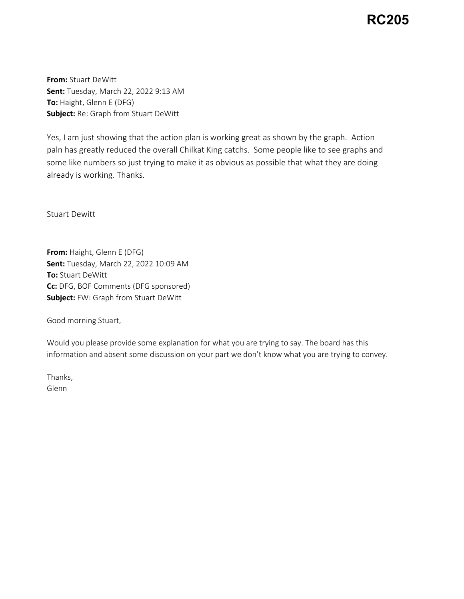## **RC205**

**From:** Stuart DeWitt **Sent:** Tuesday, March 22, 2022 9:13 AM **To:** Haight, Glenn E (DFG) **Subject:** Re: Graph from Stuart DeWitt

Yes, I am just showing that the action plan is working great as shown by the graph. Action paln has greatly reduced the overall Chilkat King catchs. Some people like to see graphs and some like numbers so just trying to make it as obvious as possible that what they are doing already is working. Thanks.

Stuart Dewitt

**From:** Haight, Glenn E (DFG) **Sent:** Tuesday, March 22, 2022 10:09 AM **To:** Stuart DeWitt **Cc:** DFG, BOF Comments (DFG sponsored) **Subject:** FW: Graph from Stuart DeWitt

Good morning Stuart,

Would you please provide some explanation for what you are trying to say. The board has this information and absent some discussion on your part we don't know what you are trying to convey.

Thanks, Glenn